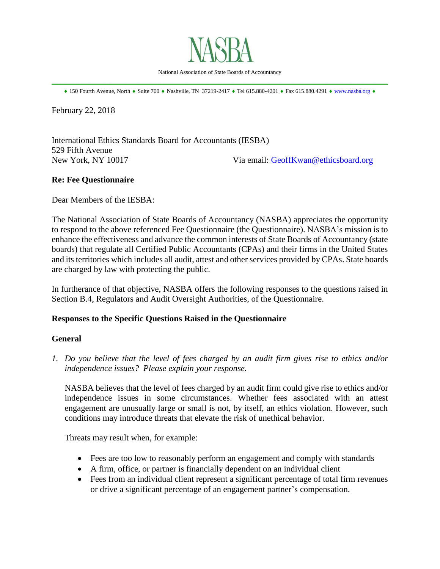

National Association of State Boards of Accountancy \_\_\_\_\_\_\_\_\_\_\_\_\_\_\_\_\_\_\_\_\_\_\_\_\_\_\_\_\_\_\_\_\_\_\_\_\_\_\_\_\_\_\_\_\_\_\_\_\_\_\_\_\_\_\_\_\_\_\_\_\_\_\_\_\_\_\_\_\_\_\_\_\_\_\_\_\_\_

 $\bullet$  150 Fourth Avenue, North  $\bullet$  Suite 700  $\bullet$  Nashville, TN 37219-2417  $\bullet$  Tel 615.880-4201  $\bullet$  Fax 615.880.4291  $\bullet$  [www.nasba.org](http://www.nasba.org/)  $\bullet$ 

February 22, 2018

International Ethics Standards Board for Accountants (IESBA) 529 Fifth Avenue New York, NY 10017 Via email: [GeoffKwan@ethicsboard.org](mailto:GeoffKwan@ethicsboard.org)

## **Re: Fee Questionnaire**

Dear Members of the IESBA:

The National Association of State Boards of Accountancy (NASBA) appreciates the opportunity to respond to the above referenced Fee Questionnaire (the Questionnaire). NASBA's mission is to enhance the effectiveness and advance the common interests of State Boards of Accountancy (state boards) that regulate all Certified Public Accountants (CPAs) and their firms in the United States and its territories which includes all audit, attest and other services provided by CPAs. State boards are charged by law with protecting the public.

In furtherance of that objective, NASBA offers the following responses to the questions raised in Section B.4, Regulators and Audit Oversight Authorities, of the Questionnaire.

## **Responses to the Specific Questions Raised in the Questionnaire**

#### **General**

*1. Do you believe that the level of fees charged by an audit firm gives rise to ethics and/or independence issues? Please explain your response.*

NASBA believes that the level of fees charged by an audit firm could give rise to ethics and/or independence issues in some circumstances. Whether fees associated with an attest engagement are unusually large or small is not, by itself, an ethics violation. However, such conditions may introduce threats that elevate the risk of unethical behavior.

Threats may result when, for example:

- Fees are too low to reasonably perform an engagement and comply with standards
- A firm, office, or partner is financially dependent on an individual client
- Fees from an individual client represent a significant percentage of total firm revenues or drive a significant percentage of an engagement partner's compensation.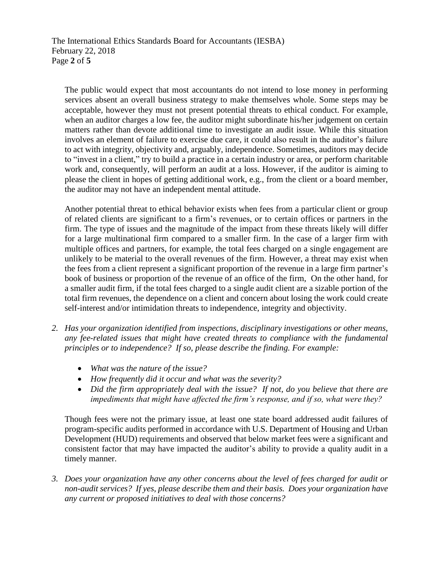The International Ethics Standards Board for Accountants (IESBA) February 22, 2018 Page **2** of **5**

The public would expect that most accountants do not intend to lose money in performing services absent an overall business strategy to make themselves whole. Some steps may be acceptable, however they must not present potential threats to ethical conduct. For example, when an auditor charges a low fee, the auditor might subordinate his/her judgement on certain matters rather than devote additional time to investigate an audit issue. While this situation involves an element of failure to exercise due care, it could also result in the auditor's failure to act with integrity, objectivity and, arguably, independence. Sometimes, auditors may decide to "invest in a client," try to build a practice in a certain industry or area, or perform charitable work and, consequently, will perform an audit at a loss. However, if the auditor is aiming to please the client in hopes of getting additional work, e.g., from the client or a board member, the auditor may not have an independent mental attitude.

Another potential threat to ethical behavior exists when fees from a particular client or group of related clients are significant to a firm's revenues, or to certain offices or partners in the firm. The type of issues and the magnitude of the impact from these threats likely will differ for a large multinational firm compared to a smaller firm. In the case of a larger firm with multiple offices and partners, for example, the total fees charged on a single engagement are unlikely to be material to the overall revenues of the firm. However, a threat may exist when the fees from a client represent a significant proportion of the revenue in a large firm partner's book of business or proportion of the revenue of an office of the firm, On the other hand, for a smaller audit firm, if the total fees charged to a single audit client are a sizable portion of the total firm revenues, the dependence on a client and concern about losing the work could create self-interest and/or intimidation threats to independence, integrity and objectivity.

- *2. Has your organization identified from inspections, disciplinary investigations or other means, any fee-related issues that might have created threats to compliance with the fundamental principles or to independence? If so, please describe the finding. For example:*
	- *What was the nature of the issue?*
	- *How frequently did it occur and what was the severity?*
	- *Did the firm appropriately deal with the issue? If not, do you believe that there are impediments that might have affected the firm's response, and if so, what were they?*

Though fees were not the primary issue, at least one state board addressed audit failures of program-specific audits performed in accordance with U.S. Department of Housing and Urban Development (HUD) requirements and observed that below market fees were a significant and consistent factor that may have impacted the auditor's ability to provide a quality audit in a timely manner.

*3. Does your organization have any other concerns about the level of fees charged for audit or non-audit services? If yes, please describe them and their basis. Does your organization have any current or proposed initiatives to deal with those concerns?*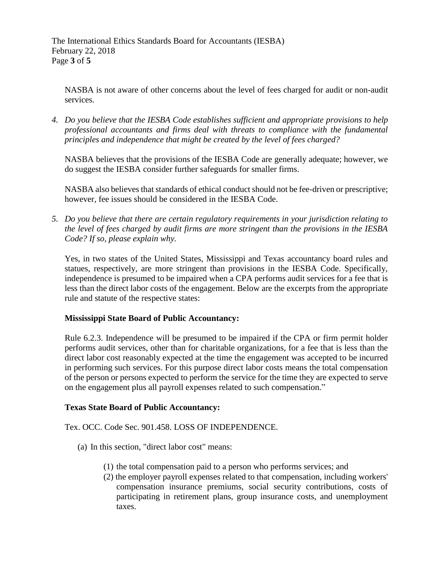The International Ethics Standards Board for Accountants (IESBA) February 22, 2018 Page **3** of **5**

NASBA is not aware of other concerns about the level of fees charged for audit or non-audit services.

*4. Do you believe that the IESBA Code establishes sufficient and appropriate provisions to help professional accountants and firms deal with threats to compliance with the fundamental principles and independence that might be created by the level of fees charged?*

NASBA believes that the provisions of the IESBA Code are generally adequate; however, we do suggest the IESBA consider further safeguards for smaller firms.

NASBA also believes that standards of ethical conduct should not be fee-driven or prescriptive; however, fee issues should be considered in the IESBA Code.

*5. Do you believe that there are certain regulatory requirements in your jurisdiction relating to the level of fees charged by audit firms are more stringent than the provisions in the IESBA Code? If so, please explain why.*

Yes, in two states of the United States, Mississippi and Texas accountancy board rules and statues, respectively, are more stringent than provisions in the IESBA Code. Specifically, independence is presumed to be impaired when a CPA performs audit services for a fee that is less than the direct labor costs of the engagement. Below are the excerpts from the appropriate rule and statute of the respective states:

# **Mississippi State Board of Public Accountancy:**

Rule 6.2.3. Independence will be presumed to be impaired if the CPA or firm permit holder performs audit services, other than for charitable organizations, for a fee that is less than the direct labor cost reasonably expected at the time the engagement was accepted to be incurred in performing such services. For this purpose direct labor costs means the total compensation of the person or persons expected to perform the service for the time they are expected to serve on the engagement plus all payroll expenses related to such compensation."

## **Texas State Board of Public Accountancy:**

Tex. OCC. Code Sec. 901.458. LOSS OF INDEPENDENCE.

- (a) In this section, "direct labor cost" means:
	- (1) the total compensation paid to a person who performs services; and
	- (2) the employer payroll expenses related to that compensation, including workers' compensation insurance premiums, social security contributions, costs of participating in retirement plans, group insurance costs, and unemployment taxes.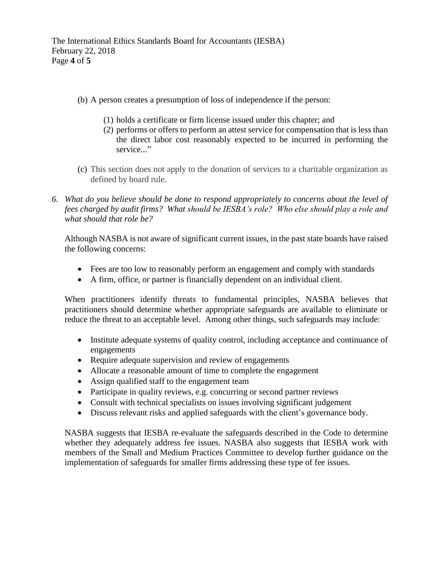- (b) A person creates a presumption of loss of independence if the person:
	- (1) holds a certificate or firm license issued under this chapter; and
	- (2) performs or offers to perform an attest service for compensation that is less than the direct labor cost reasonably expected to be incurred in performing the service..."
- (c) This section does not apply to the donation of services to a charitable organization as defined by board rule.
- *6. What do you believe should be done to respond appropriately to concerns about the level of fees charged by audit firms? What should be IESBA's role? Who else should play a role and what should that role be?*

Although NASBA is not aware of significant current issues, in the past state boards have raised the following concerns:

- Fees are too low to reasonably perform an engagement and comply with standards
- A firm, office, or partner is financially dependent on an individual client.

When practitioners identify threats to fundamental principles, NASBA believes that practitioners should determine whether appropriate safeguards are available to eliminate or reduce the threat to an acceptable level. Among other things, such safeguards may include:

- Institute adequate systems of quality control, including acceptance and continuance of engagements
- Require adequate supervision and review of engagements
- Allocate a reasonable amount of time to complete the engagement
- Assign qualified staff to the engagement team
- Participate in quality reviews, e.g. concurring or second partner reviews
- Consult with technical specialists on issues involving significant judgement
- Discuss relevant risks and applied safeguards with the client's governance body.

NASBA suggests that IESBA re-evaluate the safeguards described in the Code to determine whether they adequately address fee issues. NASBA also suggests that IESBA work with members of the Small and Medium Practices Committee to develop further guidance on the implementation of safeguards for smaller firms addressing these type of fee issues.